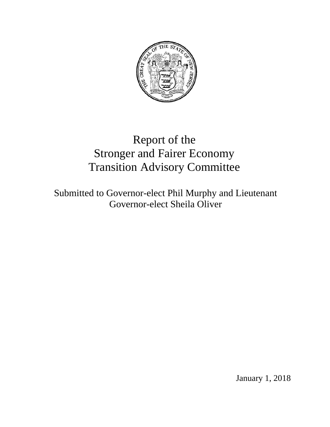

# Report of the Stronger and Fairer Economy Transition Advisory Committee

Submitted to Governor-elect Phil Murphy and Lieutenant Governor-elect Sheila Oliver

January 1, 2018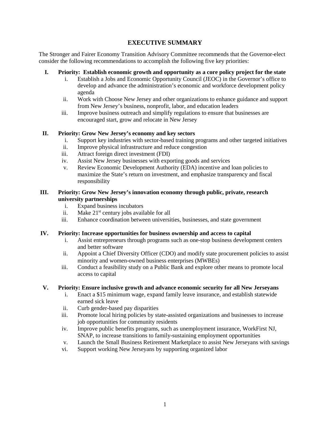# **EXECUTIVE SUMMARY**

The Stronger and Fairer Economy Transition Advisory Committee recommends that the Governor-elect consider the following recommendations to accomplish the following five key priorities:

- **I. Priority: Establish economic growth and opportunity as a core policy project for the state**
	- i. Establish a Jobs and Economic Opportunity Council (JEOC) in the Governor's office to develop and advance the administration's economic and workforce development policy agenda
	- ii. Work with Choose New Jersey and other organizations to enhance guidance and support from New Jersey's business, nonprofit, labor, and education leaders
	- iii. Improve business outreach and simplify regulations to ensure that businesses are encouraged start, grow and relocate in New Jersey

# **II. Priority: Grow New Jersey's economy and key sectors**

- i. Support key industries with sector-based training programs and other targeted initiatives
- ii. Improve physical infrastructure and reduce congestion
- iii. Attract foreign direct investment (FDI)
- iv. Assist New Jersey businesses with exporting goods and services
- v. Review Economic Development Authority (EDA) incentive and loan policies to maximize the State's return on investment, and emphasize transparency and fiscal responsibility

## **III. Priority: Grow New Jersey's innovation economy through public, private, research university partnerships**

- i. Expand business incubators
- ii. Make  $21^{st}$  century jobs available for all
- iii. Enhance coordination between universities, businesses, and state government

## **IV. Priority: Increase opportunities for business ownership and access to capital**

- i. Assist entrepreneurs through programs such as one-stop business development centers and better software
- ii. Appoint a Chief Diversity Officer (CDO) and modify state procurement policies to assist minority and women-owned business enterprises (MWBEs)
- iii. Conduct a feasibility study on a Public Bank and explore other means to promote local access to capital

# **V. Priority: Ensure inclusive growth and advance economic security for all New Jerseyans**

- i. Enact a \$15 minimum wage, expand family leave insurance, and establish statewide earned sick leave
- ii. Curb gender-based pay disparities
- iii. Promote local hiring policies by state-assisted organizations and businesses to increase job opportunities for community residents
- iv. Improve public benefits programs, such as unemployment insurance, WorkFirst NJ, SNAP, to increase transitions to family-sustaining employment opportunities
- v. Launch the Small Business Retirement Marketplace to assist New Jerseyans with savings
- vi. Support working New Jerseyans by supporting organized labor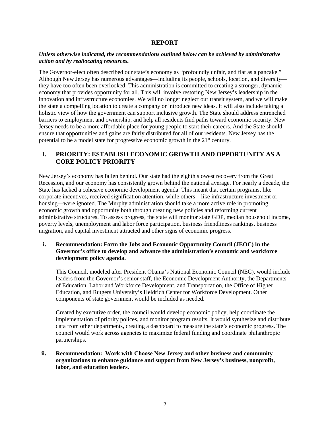## **REPORT**

## *Unless otherwise indicated, the recommendations outlined below can be achieved by administrative action and by reallocating resources.*

The Governor-elect often described our state's economy as "profoundly unfair, and flat as a pancake." Although New Jersey has numerous advantages—including its people, schools, location, and diversity they have too often been overlooked. This administration is committed to creating a stronger, dynamic economy that provides opportunity for all. This will involve restoring New Jersey's leadership in the innovation and infrastructure economies. We will no longer neglect our transit system, and we will make the state a compelling location to create a company or introduce new ideas. It will also include taking a holistic view of how the government can support inclusive growth. The State should address entrenched barriers to employment and ownership, and help all residents find paths toward economic security. New Jersey needs to be a more affordable place for young people to start their careers. And the State should ensure that opportunities and gains are fairly distributed for all of our residents. New Jersey has the potential to be a model state for progressive economic growth in the 21st century.

# **I. PRIORITY: ESTABLISH ECONOMIC GROWTH AND OPPORTUNITY AS A CORE POLICY PRIORITY**

New Jersey's economy has fallen behind. Our state had the eighth slowest recovery from the Great Recession, and our economy has consistently grown behind the national average. For nearly a decade, the State has lacked a cohesive economic development agenda. This meant that certain programs, like corporate incentives, received signification attention, while others—like infrastructure investment or housing—were ignored. The Murphy administration should take a more active role in promoting economic growth and opportunity both through creating new policies and reforming current administrative structures. To assess progress, the state will monitor state GDP, median household income, poverty levels, unemployment and labor force participation, business friendliness rankings, business migration, and capital investment attracted and other signs of economic progress.

## **i. Recommendation: Form the Jobs and Economic Opportunity Council (JEOC) in the Governor's office to develop and advance the administration's economic and workforce development policy agenda.**

This Council, modeled after President Obama's National Economic Council (NEC), would include leaders from the Governor's senior staff, the Economic Development Authority, the Departments of Education, Labor and Workforce Development, and Transportation, the Office of Higher Education, and Rutgers University's Heldrich Center for Workforce Development. Other components of state government would be included as needed.

Created by executive order, the council would develop economic policy, help coordinate the implementation of priority polices, and monitor program results. It would synthesize and distribute data from other departments, creating a dashboard to measure the state's economic progress. The council would work across agencies to maximize federal funding and coordinate philanthropic partnerships.

## **ii. Recommendation: Work with Choose New Jersey and other business and community organizations to enhance guidance and support from New Jersey's business, nonprofit, labor, and education leaders.**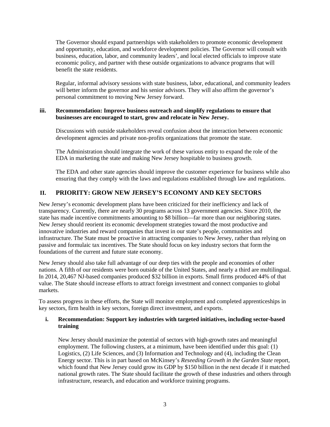The Governor should expand partnerships with stakeholders to promote economic development and opportunity, education, and workforce development policies. The Governor will consult with business, education, labor, and community leaders', and local elected officials to improve state economic policy, and partner with these outside organizations to advance programs that will benefit the state residents.

Regular, informal advisory sessions with state business, labor, educational, and community leaders will better inform the governor and his senior advisors. They will also affirm the governor's personal commitment to moving New Jersey forward.

## **iii. Recommendation: Improve business outreach and simplify regulations to ensure that businesses are encouraged to start, grow and relocate in New Jersey.**

Discussions with outside stakeholders reveal confusion about the interaction between economic development agencies and private non-profits organizations that promote the state.

The Administration should integrate the work of these various entity to expand the role of the EDA in marketing the state and making New Jersey hospitable to business growth.

The EDA and other state agencies should improve the customer experience for business while also ensuring that they comply with the laws and regulations established through law and regulations.

# **II. PRIORITY: GROW NEW JERSEY'S ECONOMY AND KEY SECTORS**

New Jersey's economic development plans have been criticized for their inefficiency and lack of transparency. Currently, there are nearly 30 programs across 13 government agencies. Since 2010, the state has made incentive commitments amounting to \$8 billion—far more than our neighboring states. New Jersey should reorient its economic development strategies toward the most productive and innovative industries and reward companies that invest in our state's people, communities and infrastructure. The State must be proactive in attracting companies to New Jersey, rather than relying on passive and formulaic tax incentives. The State should focus on key industry sectors that form the foundations of the current and future state economy.

New Jersey should also take full advantage of our deep ties with the people and economies of other nations. A fifth of our residents were born outside of the United States, and nearly a third are multilingual. In 2014, 20,467 NJ-based companies produced \$32 billion in exports. Small firms produced 44% of that value. The State should increase efforts to attract foreign investment and connect companies to global markets.

To assess progress in these efforts, the State will monitor employment and completed apprenticeships in key sectors, firm health in key sectors, foreign direct investment, and exports.

## **i. Recommendation: Support key industries with targeted initiatives, including sector-based training**

New Jersey should maximize the potential of sectors with high-growth rates and meaningful employment. The following clusters, at a minimum, have been identified under this goal: (1) Logistics, (2) Life Sciences, and (3) Information and Technology and (4), including the Clean Energy sector. This is in part based on McKinsey's *Reseeding Growth in the Garden State* report, which found that New Jersey could grow its GDP by \$150 billion in the next decade if it matched national growth rates. The State should facilitate the growth of these industries and others through infrastructure, research, and education and workforce training programs.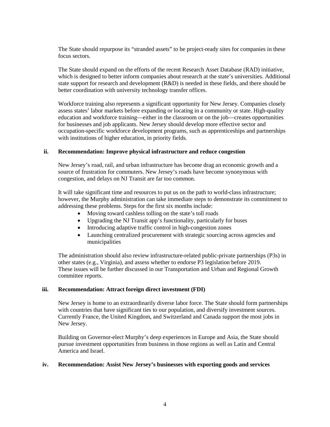The State should repurpose its "stranded assets" to be project-ready sites for companies in these focus sectors.

The State should expand on the efforts of the recent Research Asset Database (RAD) initiative, which is designed to better inform companies about research at the state's universities. Additional state support for research and development (R&D) is needed in these fields, and there should be better coordination with university technology transfer offices.

Workforce training also represents a significant opportunity for New Jersey. Companies closely assess states' labor markets before expanding or locating in a community or state. High-quality education and workforce training—either in the classroom or on the job—creates opportunities for businesses and job applicants. New Jersey should develop more effective sector and occupation-specific workforce development programs, such as apprenticeships and partnerships with institutions of higher education, in priority fields.

### **ii. Recommendation: Improve physical infrastructure and reduce congestion**

New Jersey's road, rail, and urban infrastructure has become drag an economic growth and a source of frustration for commuters. New Jersey's roads have become synonymous with congestion, and delays on NJ Transit are far too common.

It will take significant time and resources to put us on the path to world-class infrastructure; however, the Murphy administration can take immediate steps to demonstrate its commitment to addressing these problems. Steps for the first six months include:

- Moving toward cashless tolling on the state's toll roads
- Upgrading the NJ Transit app's functionality, particularly for buses
- Introducing adaptive traffic control in high-congestion zones
- Launching centralized procurement with strategic sourcing across agencies and municipalities

The administration should also review infrastructure-related public-private partnerships (P3s) in other states (e.g., Virginia), and assess whether to endorse P3 legislation before 2019. These issues will be further discussed in our Transportation and Urban and Regional Growth committee reports.

#### **iii. Recommendation: Attract foreign direct investment (FDI)**

New Jersey is home to an extraordinarily diverse labor force. The State should form partnerships with countries that have significant ties to our population, and diversify investment sources. Currently France, the United Kingdom, and Switzerland and Canada support the most jobs in New Jersey.

Building on Governor-elect Murphy's deep experiences in Europe and Asia, the State should pursue investment opportunities from business in those regions as well as Latin and Central America and Israel.

### **iv. Recommendation: Assist New Jersey's businesses with exporting goods and services**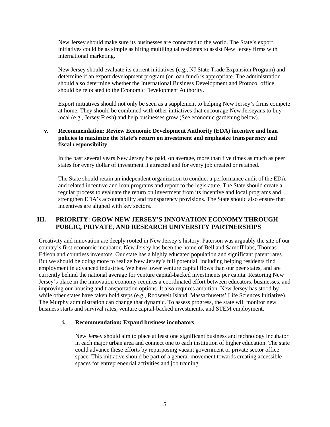New Jersey should make sure its businesses are connected to the world. The State's export initiatives could be as simple as hiring multilingual residents to assist New Jersey firms with international marketing.

New Jersey should evaluate its current initiatives (e.g., NJ State Trade Expansion Program) and determine if an export development program (or loan fund) is appropriate. The administration should also determine whether the International Business Development and Protocol office should be relocated to the Economic Development Authority.

Export initiatives should not only be seen as a supplement to helping New Jersey's firms compete at home. They should be combined with other initiatives that encourage New Jerseyans to buy local (e.g., Jersey Fresh) and help businesses grow (See economic gardening below).

## **v. Recommendation: Review Economic Development Authority (EDA) incentive and loan policies to maximize the State's return on investment and emphasize transparency and fiscal responsibility**

In the past several years New Jersey has paid, on average, more than five times as much as peer states for every dollar of investment it attracted and for every job created or retained.

The State should retain an independent organization to conduct a performance audit of the EDA and related incentive and loan programs and report to the legislature. The State should create a regular process to evaluate the return on investment from its incentive and local programs and strengthen EDA's accountability and transparency provisions. The State should also ensure that incentives are aligned with key sectors.

# **III. PRIORITY: GROW NEW JERSEY'S INNOVATION ECONOMY THROUGH PUBLIC, PRIVATE, AND RESEARCH UNIVERSITY PARTNERSHIPS**

Creativity and innovation are deeply rooted in New Jersey's history. Paterson was arguably the site of our country's first economic incubator. New Jersey has been the home of Bell and Sarnoff labs, Thomas Edison and countless inventors. Our state has a highly educated population and significant patent rates. But we should be doing more to realize New Jersey's full potential, including helping residents find employment in advanced industries. We have lower venture capital flows than our peer states, and are currently behind the national average for venture capital-backed investments per capita. Restoring New Jersey's place in the innovation economy requires a coordinated effort between educators, businesses, and improving our housing and transportation options. It also requires ambition. New Jersey has stood by while other states have taken bold steps (e.g., Roosevelt Island, Massachusetts' Life Sciences Initiative). The Murphy administration can change that dynamic. To assess progress, the state will monitor new business starts and survival rates, venture capital-backed investments, and STEM employment.

#### **i. Recommendation: Expand business incubators**

New Jersey should aim to place at least one significant business and technology incubator in each major urban area and connect one to each institution of higher education. The state could advance these efforts by repurposing vacant government or private sector office space. This initiative should be part of a general movement towards creating accessible spaces for entrepreneurial activities and job training.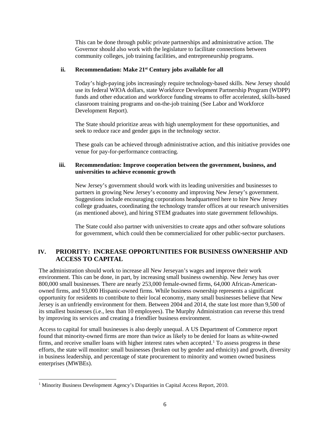This can be done through public private partnerships and administrative action. The Governor should also work with the legislature to facilitate connections between community colleges, job training facilities, and entrepreneurship programs.

## **ii. Recommendation: Make 21st Century jobs available for all**

Today's high-paying jobs increasingly require technology-based skills. New Jersey should use its federal WIOA dollars, state Workforce Development Partnership Program (WDPP) funds and other education and workforce funding streams to offer accelerated, skills-based classroom training programs and on-the-job training (See Labor and Workforce Development Report).

The State should prioritize areas with high unemployment for these opportunities, and seek to reduce race and gender gaps in the technology sector.

These goals can be achieved through administrative action, and this initiative provides one venue for pay-for-performance contracting.

## **iii. Recommendation: Improve cooperation between the government, business, and universities to achieve economic growth**

New Jersey's government should work with its leading universities and businesses to partners in growing New Jersey's economy and improving New Jersey's government. Suggestions include encouraging corporations headquartered here to hire New Jersey college graduates, coordinating the technology transfer offices at our research universities (as mentioned above), and hiring STEM graduates into state government fellowships.

The State could also partner with universities to create apps and other software solutions for government, which could then be commercialized for other public-sector purchasers.

# **IV. PRIORITY: INCREASE OPPORTUNITIES FOR BUSINESS OWNERSHIP AND ACCESS TO CAPITAL**

The administration should work to increase all New Jerseyan's wages and improve their work environment. This can be done, in part, by increasing small business ownership. New Jersey has over 800,000 small businesses. There are nearly 253,000 female-owned firms, 64,000 African-Americanowned firms, and 93,000 Hispanic-owned firms. While business ownership represents a significant opportunity for residents to contribute to their local economy, many small businesses believe that New Jersey is an unfriendly environment for them. Between 2004 and 2014, the state lost more than 9,500 of its smallest businesses (i.e., less than 10 employees). The Murphy Administration can reverse this trend by improving its services and creating a friendlier business environment.

Access to capital for small businesses is also deeply unequal. A US Department of Commerce report found that minority-owned firms are more than twice as likely to be denied for loans as white-owned firms, and receive smaller loans with higher interest rates when accepted.<sup>[1](#page-6-0)</sup> To assess progress in these efforts, the state will monitor: small businesses (broken out by gender and ethnicity) and growth, diversity in business leadership, and percentage of state procurement to minority and women owned business enterprises (MWBEs).

<span id="page-6-0"></span><sup>&</sup>lt;sup>1</sup> Minority Business Development Agency's [Disparities in Capital Access](http://www.mbda.gov/sites/default/files/DisparitiesinCapitalAccessReport.pd) Report, 2010.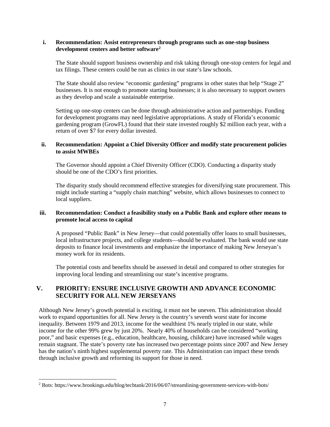### **i. Recommendation: Assist entrepreneurs through programs such as one-stop business development centers and better software[2](#page-7-0)**

The State should support business ownership and risk taking through one-stop centers for legal and tax filings. These centers could be run as clinics in our state's law schools.

The State should also review "economic gardening" programs in other states that help "Stage 2" businesses. It is not enough to promote starting businesses; it is also necessary to support owners as they develop and scale a sustainable enterprise.

Setting up one-stop centers can be done through administrative action and partnerships. Funding for development programs may need legislative appropriations. A study of Florida's economic gardening program (GrowFL) found that their state invested roughly \$2 million each year, with a return of over \$7 for every dollar invested.

## **ii. Recommendation: Appoint a Chief Diversity Officer and modify state procurement policies to assist MWBEs**

The Governor should appoint a Chief Diversity Officer (CDO). Conducting a disparity study should be one of the CDO's first priorities.

The disparity study should recommend effective strategies for diversifying state procurement. This might include starting a "supply chain matching" website, which allows businesses to connect to local suppliers.

## **iii. Recommendation: Conduct a feasibility study on a Public Bank and explore other means to promote local access to capital**

A proposed "Public Bank" in New Jersey—that could potentially offer loans to small businesses, local infrastructure projects, and college students—should be evaluated. The bank would use state deposits to finance local investments and emphasize the importance of making New Jerseyan's money work for its residents.

The potential costs and benefits should be assessed in detail and compared to other strategies for improving local lending and streamlining our state's incentive programs.

# **V. PRIORITY: ENSURE INCLUSIVE GROWTH AND ADVANCE ECONOMIC SECURITY FOR ALL NEW JERSEYANS**

Although New Jersey's growth potential is exciting, it must not be uneven. This administration should work to expand opportunities for all. New Jersey is the country's seventh worst state for income inequality. Between 1979 and 2013, income for the wealthiest 1% nearly tripled in our state, while income for the other 99% grew by just 20%. Nearly 40% of households can be considered "working poor," and basic expenses (e.g., education, healthcare, housing, childcare) have increased while wages remain stagnant. The state's poverty rate has increased two percentage points since 2007 and New Jersey has the nation's ninth highest supplemental poverty rate. This Administration can impact these trends through inclusive growth and reforming its support for those in need.

<span id="page-7-0"></span> <sup>2</sup> Bots: https://www.brookings.edu/blog/techtank/2016/06/07/streamlining-government-services-with-bots/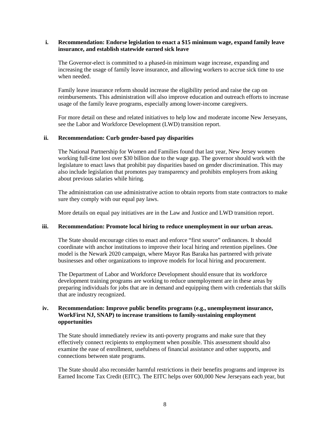#### **i. Recommendation: Endorse legislation to enact a \$15 minimum wage, expand family leave insurance, and establish statewide earned sick leave**

The Governor-elect is committed to a phased-in minimum wage increase, expanding and increasing the usage of family leave insurance, and allowing workers to accrue sick time to use when needed.

Family leave insurance reform should increase the eligibility period and raise the cap on reimbursements. This administration will also improve education and outreach efforts to increase usage of the family leave programs, especially among lower-income caregivers.

For more detail on these and related initiatives to help low and moderate income New Jerseyans, see the Labor and Workforce Development (LWD) transition report.

#### **ii. Recommendation: Curb gender-based pay disparities**

The National Partnership for Women and Families found that last year, New Jersey women working full-time lost over \$30 billion due to the wage gap. The governor should work with the legislature to enact laws that prohibit pay disparities based on gender discrimination. This may also include legislation that promotes pay transparency and prohibits employers from asking about previous salaries while hiring.

The administration can use administrative action to obtain reports from state contractors to make sure they comply with our equal pay laws.

More details on equal pay initiatives are in the Law and Justice and LWD transition report.

#### **iii. Recommendation: Promote local hiring to reduce unemployment in our urban areas.**

The State should encourage cities to enact and enforce "first source" ordinances. It should coordinate with anchor institutions to improve their local hiring and retention pipelines. One model is the Newark 2020 campaign, where Mayor Ras Baraka has partnered with private businesses and other organizations to improve models for local hiring and procurement.

The Department of Labor and Workforce Development should ensure that its workforce development training programs are working to reduce unemployment are in these areas by preparing individuals for jobs that are in demand and equipping them with credentials that skills that are industry recognized.

## **iv. Recommendation: Improve public benefits programs (e.g., unemployment insurance, WorkFirst NJ, SNAP) to increase transitions to family-sustaining employment opportunities**

The State should immediately review its anti-poverty programs and make sure that they effectively connect recipients to employment when possible. This assessment should also examine the ease of enrollment, usefulness of financial assistance and other supports, and connections between state programs.

The State should also reconsider harmful restrictions in their benefits programs and improve its Earned Income Tax Credit (EITC). The EITC helps over 600,000 New Jerseyans each year, but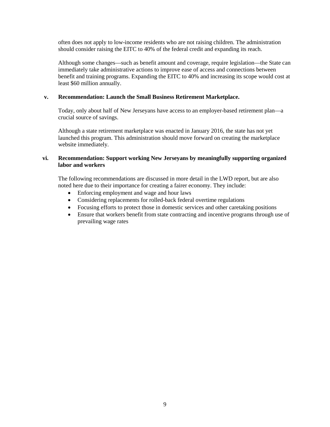often does not apply to low-income residents who are not raising children. The administration should consider raising the EITC to 40% of the federal credit and expanding its reach.

Although some changes—such as benefit amount and coverage, require legislation—the State can immediately take administrative actions to improve ease of access and connections between benefit and training programs. Expanding the EITC to 40% and increasing its scope would cost at least \$60 million annually.

## **v. Recommendation: Launch the Small Business Retirement Marketplace.**

Today, only about half of New Jerseyans have access to an employer-based retirement plan—a crucial source of savings.

Although a state retirement marketplace was enacted in January 2016, the state has not yet launched this program. This administration should move forward on creating the marketplace website immediately.

## **vi. Recommendation: Support working New Jerseyans by meaningfully supporting organized labor and workers**

The following recommendations are discussed in more detail in the LWD report, but are also noted here due to their importance for creating a fairer economy. They include:

- Enforcing employment and wage and hour laws
- Considering replacements for rolled-back federal overtime regulations
- Focusing efforts to protect those in domestic services and other caretaking positions
- Ensure that workers benefit from state contracting and incentive programs through use of prevailing wage rates